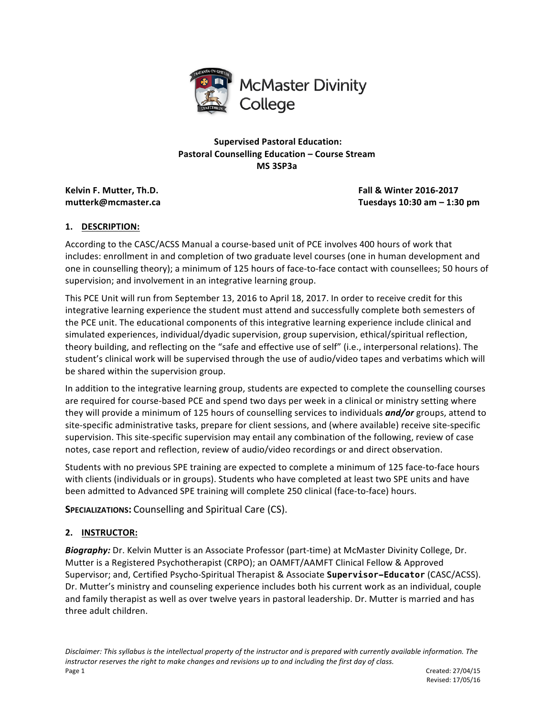

**Supervised Pastoral Education: Pastoral Counselling Education – Course Stream MS 3SP3a**

**Kelvin F. Mutter, Th.D. Fall & Winter 2016-2017 mutterk@mcmaster.ca Tuesdays 10:30 am – 1:30 pm**

# **1. DESCRIPTION:**

According to the CASC/ACSS Manual a course-based unit of PCE involves 400 hours of work that includes: enrollment in and completion of two graduate level courses (one in human development and one in counselling theory); a minimum of 125 hours of face-to-face contact with counsellees; 50 hours of supervision; and involvement in an integrative learning group.

This PCE Unit will run from September 13, 2016 to April 18, 2017. In order to receive credit for this integrative learning experience the student must attend and successfully complete both semesters of the PCE unit. The educational components of this integrative learning experience include clinical and simulated experiences, individual/dyadic supervision, group supervision, ethical/spiritual reflection, theory building, and reflecting on the "safe and effective use of self" (i.e., interpersonal relations). The student's clinical work will be supervised through the use of audio/video tapes and verbatims which will be shared within the supervision group.

In addition to the integrative learning group, students are expected to complete the counselling courses are required for course-based PCE and spend two days per week in a clinical or ministry setting where they will provide a minimum of 125 hours of counselling services to individuals *and/or* groups, attend to site-specific administrative tasks, prepare for client sessions, and (where available) receive site-specific supervision. This site-specific supervision may entail any combination of the following, review of case notes, case report and reflection, review of audio/video recordings or and direct observation.

Students with no previous SPE training are expected to complete a minimum of 125 face-to-face hours with clients (individuals or in groups). Students who have completed at least two SPE units and have been admitted to Advanced SPE training will complete 250 clinical (face-to-face) hours.

**SPECIALIZATIONS:** Counselling and Spiritual Care (CS).

# **2. INSTRUCTOR:**

**Biography:** Dr. Kelvin Mutter is an Associate Professor (part-time) at McMaster Divinity College, Dr. Mutter is a Registered Psychotherapist (CRPO); an OAMFT/AAMFT Clinical Fellow & Approved Supervisor; and, Certified Psycho-Spiritual Therapist & Associate **Supervisor-Educator** (CASC/ACSS). Dr. Mutter's ministry and counseling experience includes both his current work as an individual, couple and family therapist as well as over twelve years in pastoral leadership. Dr. Mutter is married and has three adult children.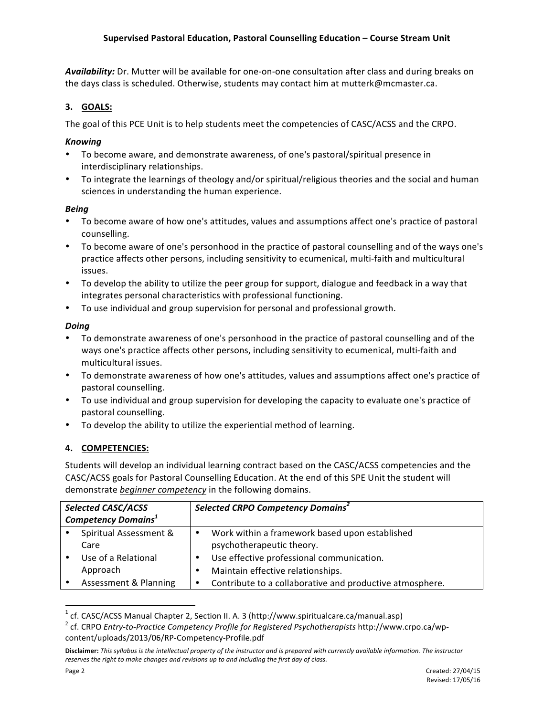Availability: Dr. Mutter will be available for one-on-one consultation after class and during breaks on the days class is scheduled. Otherwise, students may contact him at mutterk@mcmaster.ca.

# **3. GOALS:**

The goal of this PCE Unit is to help students meet the competencies of CASC/ACSS and the CRPO.

# *Knowing*

- To become aware, and demonstrate awareness, of one's pastoral/spiritual presence in interdisciplinary relationships.
- To integrate the learnings of theology and/or spiritual/religious theories and the social and human sciences in understanding the human experience.

# *Being*

- To become aware of how one's attitudes, values and assumptions affect one's practice of pastoral counselling.
- To become aware of one's personhood in the practice of pastoral counselling and of the ways one's practice affects other persons, including sensitivity to ecumenical, multi-faith and multicultural issues.
- To develop the ability to utilize the peer group for support, dialogue and feedback in a way that integrates personal characteristics with professional functioning.
- To use individual and group supervision for personal and professional growth.

# *Doing*

- To demonstrate awareness of one's personhood in the practice of pastoral counselling and of the ways one's practice affects other persons, including sensitivity to ecumenical, multi-faith and multicultural issues.
- To demonstrate awareness of how one's attitudes, values and assumptions affect one's practice of pastoral counselling.
- To use individual and group supervision for developing the capacity to evaluate one's practice of pastoral counselling.
- To develop the ability to utilize the experiential method of learning.

# **4. COMPETENCIES:**

<u> 1989 - Jan Samuel Barbara, margaret e</u>

Students will develop an individual learning contract based on the CASC/ACSS competencies and the CASC/ACSS goals for Pastoral Counselling Education. At the end of this SPE Unit the student will demonstrate *beginner* competency in the following domains.

| <b>Selected CASC/ACSS</b><br><b>Competency Domains<sup>1</sup></b> |                        |   | Selected CRPO Competency Domains <sup>2</sup>            |
|--------------------------------------------------------------------|------------------------|---|----------------------------------------------------------|
|                                                                    |                        |   |                                                          |
|                                                                    | Spiritual Assessment & | ٠ | Work within a framework based upon established           |
|                                                                    | Care                   |   | psychotherapeutic theory.                                |
|                                                                    | Use of a Relational    | ٠ | Use effective professional communication.                |
|                                                                    | Approach               |   | Maintain effective relationships.                        |
|                                                                    | Assessment & Planning  | ٠ | Contribute to a collaborative and productive atmosphere. |

<sup>&</sup>lt;sup>1</sup> cf. CASC/ACSS Manual Chapter 2, Section II. A. 3 (http://www.spiritualcare.ca/manual.asp)<br><sup>2</sup> cf. CRPO *Entry-to-Practice Competency Profile for Registered Psychotherapists* http://www.crpo.ca/wpcontent/uploads/2013/06/RP-Competency-Profile.pdf

Disclaimer: This syllabus is the intellectual property of the instructor and is prepared with currently available information. The instructor reserves the right to make changes and revisions up to and including the first day of class.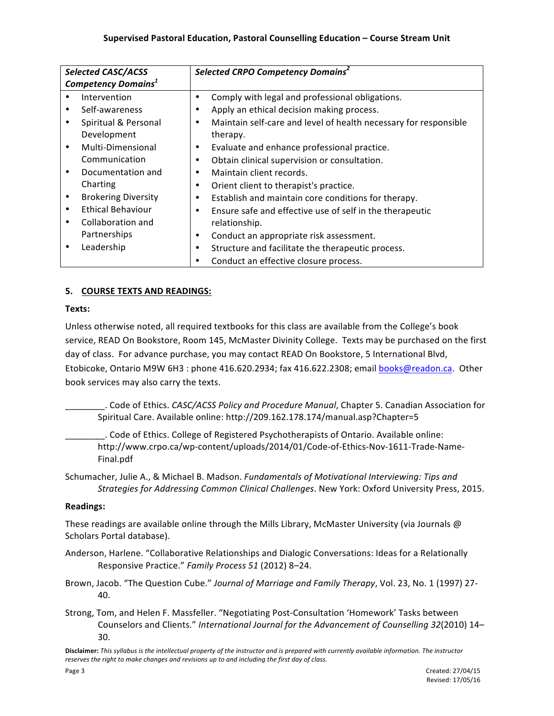| <b>Selected CASC/ACSS</b>             |                            | Selected CRPO Competency Domains <sup>2</sup> |                                                                  |
|---------------------------------------|----------------------------|-----------------------------------------------|------------------------------------------------------------------|
| <b>Competency Domains<sup>1</sup></b> |                            |                                               |                                                                  |
|                                       | Intervention               |                                               | Comply with legal and professional obligations.                  |
|                                       | Self-awareness             | ٠                                             | Apply an ethical decision making process.                        |
|                                       | Spiritual & Personal       | ٠                                             | Maintain self-care and level of health necessary for responsible |
|                                       | Development                |                                               | therapy.                                                         |
| $\bullet$                             | Multi-Dimensional          | ٠                                             | Evaluate and enhance professional practice.                      |
|                                       | Communication              | ٠                                             | Obtain clinical supervision or consultation.                     |
| $\bullet$                             | Documentation and          | ٠                                             | Maintain client records.                                         |
|                                       | Charting                   | ٠                                             | Orient client to therapist's practice.                           |
|                                       | <b>Brokering Diversity</b> | ٠                                             | Establish and maintain core conditions for therapy.              |
|                                       | <b>Ethical Behaviour</b>   | ٠                                             | Ensure safe and effective use of self in the therapeutic         |
|                                       | Collaboration and          |                                               | relationship.                                                    |
|                                       | Partnerships               | ٠                                             | Conduct an appropriate risk assessment.                          |
|                                       | Leadership                 | ٠                                             | Structure and facilitate the therapeutic process.                |
|                                       |                            |                                               | Conduct an effective closure process.                            |

# **5. COURSE TEXTS AND READINGS:**

# **Texts:**

Unless otherwise noted, all required textbooks for this class are available from the College's book service, READ On Bookstore, Room 145, McMaster Divinity College. Texts may be purchased on the first day of class. For advance purchase, you may contact READ On Bookstore, 5 International Blvd, Etobicoke, Ontario M9W 6H3 : phone 416.620.2934; fax 416.622.2308; email books@readon.ca. Other book services may also carry the texts.

\_\_\_\_\_\_\_\_. Code of Ethics. *CASC/ACSS Policy and Procedure Manual*, Chapter 5. Canadian Association for Spiritual Care. Available online: http://209.162.178.174/manual.asp?Chapter=5

\_\_\_\_\_\_\_\_. Code of Ethics. College of Registered Psychotherapists of Ontario. Available online: http://www.crpo.ca/wp-content/uploads/2014/01/Code-of-Ethics-Nov-1611-Trade-Name-Final.pdf

Schumacher, Julie A., & Michael B. Madson. *Fundamentals of Motivational Interviewing: Tips and Strategies for Addressing Common Clinical Challenges*. New York: Oxford University Press, 2015.

# **Readings:**

These readings are available online through the Mills Library, McMaster University (via Journals  $\omega$ Scholars Portal database).

Anderson, Harlene. "Collaborative Relationships and Dialogic Conversations: Ideas for a Relationally Responsive Practice." Family Process 51 (2012) 8-24.

Brown, Jacob. "The Question Cube." *Journal of Marriage and Family Therapy*, Vol. 23, No. 1 (1997) 27-40.

Strong, Tom, and Helen F. Massfeller. "Negotiating Post-Consultation 'Homework' Tasks between Counselors and Clients." International Journal for the Advancement of Counselling 32(2010) 14-30.

Disclaimer: This syllabus is the intellectual property of the instructor and is prepared with currently available information. The instructor reserves the right to make changes and revisions up to and including the first day of class.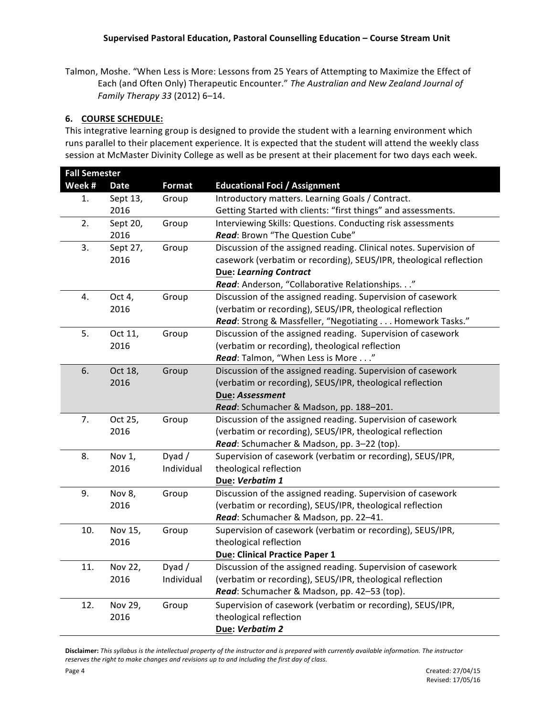Talmon, Moshe. "When Less is More: Lessons from 25 Years of Attempting to Maximize the Effect of Each (and Often Only) Therapeutic Encounter." The Australian and New Zealand Journal of *Family Therapy 33* (2012) 6–14.

### **6. COURSE SCHEDULE:**

This integrative learning group is designed to provide the student with a learning environment which runs parallel to their placement experience. It is expected that the student will attend the weekly class session at McMaster Divinity College as well as be present at their placement for two days each week.

|        | <b>Fall Semester</b> |               |                                                                    |  |
|--------|----------------------|---------------|--------------------------------------------------------------------|--|
| Week # | Date                 | <b>Format</b> | <b>Educational Foci / Assignment</b>                               |  |
| 1.     | Sept 13,             | Group         | Introductory matters. Learning Goals / Contract.                   |  |
|        | 2016                 |               | Getting Started with clients: "first things" and assessments.      |  |
| 2.     | Sept 20,             | Group         | Interviewing Skills: Questions. Conducting risk assessments        |  |
|        | 2016                 |               | Read: Brown "The Question Cube"                                    |  |
| 3.     | Sept 27,             | Group         | Discussion of the assigned reading. Clinical notes. Supervision of |  |
|        | 2016                 |               | casework (verbatim or recording), SEUS/IPR, theological reflection |  |
|        |                      |               | <b>Due: Learning Contract</b>                                      |  |
|        |                      |               | Read: Anderson, "Collaborative Relationships."                     |  |
| 4.     | Oct 4,               | Group         | Discussion of the assigned reading. Supervision of casework        |  |
|        | 2016                 |               | (verbatim or recording), SEUS/IPR, theological reflection          |  |
|        |                      |               | Read: Strong & Massfeller, "Negotiating Homework Tasks."           |  |
| 5.     | Oct 11,              | Group         | Discussion of the assigned reading. Supervision of casework        |  |
|        | 2016                 |               | (verbatim or recording), theological reflection                    |  |
|        |                      |               | Read: Talmon, "When Less is More"                                  |  |
| 6.     | Oct 18,              | Group         | Discussion of the assigned reading. Supervision of casework        |  |
|        | 2016                 |               | (verbatim or recording), SEUS/IPR, theological reflection          |  |
|        |                      |               | Due: Assessment                                                    |  |
|        |                      |               | Read: Schumacher & Madson, pp. 188-201.                            |  |
| 7.     | Oct 25,              | Group         | Discussion of the assigned reading. Supervision of casework        |  |
|        | 2016                 |               | (verbatim or recording), SEUS/IPR, theological reflection          |  |
|        |                      |               | Read: Schumacher & Madson, pp. 3-22 (top).                         |  |
| 8.     | Nov 1,               | Dyad $/$      | Supervision of casework (verbatim or recording), SEUS/IPR,         |  |
|        | 2016                 | Individual    | theological reflection                                             |  |
|        |                      |               | Due: Verbatim 1                                                    |  |
| 9.     | Nov 8,               | Group         | Discussion of the assigned reading. Supervision of casework        |  |
|        | 2016                 |               | (verbatim or recording), SEUS/IPR, theological reflection          |  |
|        |                      |               | Read: Schumacher & Madson, pp. 22-41.                              |  |
| 10.    | Nov 15,              | Group         | Supervision of casework (verbatim or recording), SEUS/IPR,         |  |
|        | 2016                 |               | theological reflection                                             |  |
|        |                      |               | Due: Clinical Practice Paper 1                                     |  |
| 11.    | Nov 22,              | Dyad $/$      | Discussion of the assigned reading. Supervision of casework        |  |
|        | 2016                 | Individual    | (verbatim or recording), SEUS/IPR, theological reflection          |  |
|        |                      |               | Read: Schumacher & Madson, pp. 42-53 (top).                        |  |
| 12.    | Nov 29,              | Group         | Supervision of casework (verbatim or recording), SEUS/IPR,         |  |
|        | 2016                 |               | theological reflection                                             |  |
|        |                      |               | Due: Verbatim 2                                                    |  |

Disclaimer: This syllabus is the intellectual property of the instructor and is prepared with currently available information. The instructor reserves the right to make changes and revisions up to and including the first day of class.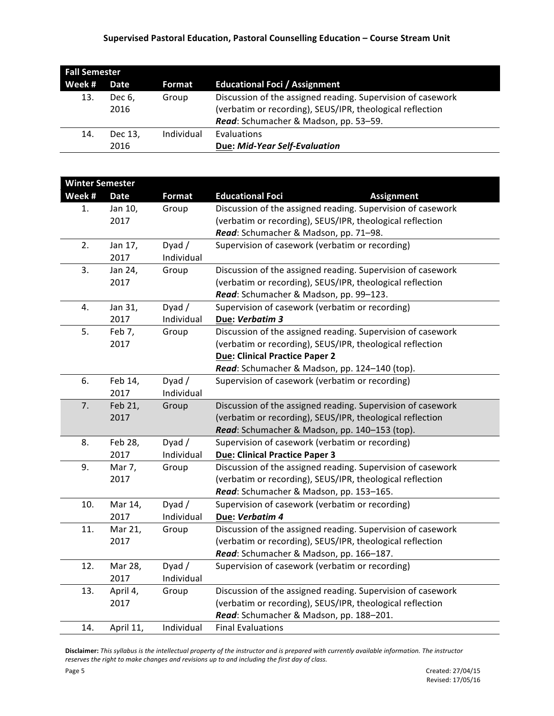# **Supervised Pastoral Education, Pastoral Counselling Education – Course Stream Unit**

| <b>Fall Semester</b> |                 |            |                                                                                                                                                                   |  |
|----------------------|-----------------|------------|-------------------------------------------------------------------------------------------------------------------------------------------------------------------|--|
| Week #               | Date            | Format     | <b>Educational Foci / Assignment</b>                                                                                                                              |  |
| 13.                  | Dec 6.<br>2016  | Group      | Discussion of the assigned reading. Supervision of casework<br>(verbatim or recording), SEUS/IPR, theological reflection<br>Read: Schumacher & Madson, pp. 53-59. |  |
| 14.                  | Dec 13,<br>2016 | Individual | Evaluations<br>Due: Mid-Year Self-Evaluation                                                                                                                      |  |

| <b>Winter Semester</b> |                  |            |                                                             |
|------------------------|------------------|------------|-------------------------------------------------------------|
| Week #                 | <b>Date</b>      | Format     | <b>Educational Foci</b><br><b>Assignment</b>                |
| 1.                     | Jan 10,<br>Group |            | Discussion of the assigned reading. Supervision of casework |
|                        | 2017             |            | (verbatim or recording), SEUS/IPR, theological reflection   |
|                        |                  |            | Read: Schumacher & Madson, pp. 71-98.                       |
| 2.                     | Jan 17,          | Dyad $/$   | Supervision of casework (verbatim or recording)             |
|                        | 2017             | Individual |                                                             |
| 3.                     | Jan 24,          | Group      | Discussion of the assigned reading. Supervision of casework |
|                        | 2017             |            | (verbatim or recording), SEUS/IPR, theological reflection   |
|                        |                  |            | Read: Schumacher & Madson, pp. 99-123.                      |
| 4.                     | Jan 31,          | Dyad $/$   | Supervision of casework (verbatim or recording)             |
|                        | 2017             | Individual | Due: Verbatim 3                                             |
| 5.                     | Feb 7,           | Group      | Discussion of the assigned reading. Supervision of casework |
|                        | 2017             |            | (verbatim or recording), SEUS/IPR, theological reflection   |
|                        |                  |            | <b>Due: Clinical Practice Paper 2</b>                       |
|                        |                  |            | Read: Schumacher & Madson, pp. 124-140 (top).               |
| 6.                     | Feb 14,          | Dyad $/$   | Supervision of casework (verbatim or recording)             |
|                        | 2017             | Individual |                                                             |
| 7.                     | Feb 21,          | Group      | Discussion of the assigned reading. Supervision of casework |
|                        | 2017             |            | (verbatim or recording), SEUS/IPR, theological reflection   |
|                        |                  |            | Read: Schumacher & Madson, pp. 140-153 (top).               |
| 8.                     | Feb 28,          | Dyad $/$   | Supervision of casework (verbatim or recording)             |
|                        | 2017             | Individual | <b>Due: Clinical Practice Paper 3</b>                       |
| 9.                     | Mar 7,           | Group      | Discussion of the assigned reading. Supervision of casework |
|                        | 2017             |            | (verbatim or recording), SEUS/IPR, theological reflection   |
|                        |                  |            | Read: Schumacher & Madson, pp. 153-165.                     |
| 10.                    | Mar 14,          | Dyad/      | Supervision of casework (verbatim or recording)             |
|                        | 2017             | Individual | Due: Verbatim 4                                             |
| 11.                    | Mar 21,          | Group      | Discussion of the assigned reading. Supervision of casework |
|                        | 2017             |            | (verbatim or recording), SEUS/IPR, theological reflection   |
|                        |                  |            | Read: Schumacher & Madson, pp. 166-187.                     |
| 12.                    | Mar 28,          | Dyad $/$   | Supervision of casework (verbatim or recording)             |
|                        | 2017             | Individual |                                                             |
| 13.                    | April 4,         | Group      | Discussion of the assigned reading. Supervision of casework |
|                        | 2017             |            | (verbatim or recording), SEUS/IPR, theological reflection   |
|                        |                  |            | Read: Schumacher & Madson, pp. 188-201.                     |
| 14.                    | April 11,        | Individual | <b>Final Evaluations</b>                                    |

Disclaimer: This syllabus is the intellectual property of the instructor and is prepared with currently available information. The instructor reserves the right to make changes and revisions up to and including the first day of class.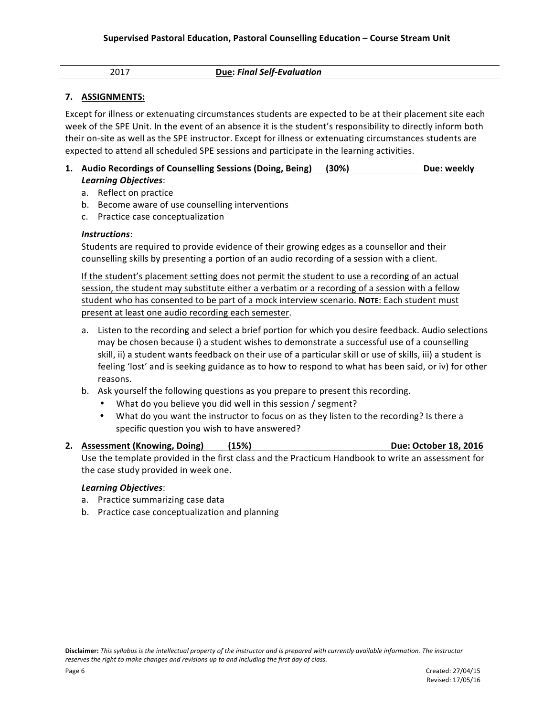| 2017<br>_____ | <b>Due: Final Self-Evaluation</b> |  |
|---------------|-----------------------------------|--|
|---------------|-----------------------------------|--|

### **7. ASSIGNMENTS:**

Except for illness or extenuating circumstances students are expected to be at their placement site each week of the SPE Unit. In the event of an absence it is the student's responsibility to directly inform both their on-site as well as the SPE instructor. Except for illness or extenuating circumstances students are expected to attend all scheduled SPE sessions and participate in the learning activities.

### **1. Audio Recordings of Counselling Sessions (Doing, Being) (30%) Due: weekly** *Learning Objectives*:

- a. Reflect on practice
- b. Become aware of use counselling interventions
- c. Practice case conceptualization

#### *Instructions*:

Students are required to provide evidence of their growing edges as a counsellor and their counselling skills by presenting a portion of an audio recording of a session with a client.

If the student's placement setting does not permit the student to use a recording of an actual session, the student may substitute either a verbatim or a recording of a session with a fellow student who has consented to be part of a mock interview scenario. **NOTE**: Each student must present at least one audio recording each semester.

- a. Listen to the recording and select a brief portion for which you desire feedback. Audio selections may be chosen because i) a student wishes to demonstrate a successful use of a counselling skill, ii) a student wants feedback on their use of a particular skill or use of skills, iii) a student is feeling 'lost' and is seeking guidance as to how to respond to what has been said, or iv) for other reasons.
- b. Ask yourself the following questions as you prepare to present this recording.
	- What do you believe you did well in this session / segment?
	- What do you want the instructor to focus on as they listen to the recording? Is there a specific question you wish to have answered?

#### **2. Assessment** (Knowing, Doing) (15%) **Due:** October 18, 2016

Use the template provided in the first class and the Practicum Handbook to write an assessment for the case study provided in week one.

#### *Learning Objectives*:

- a. Practice summarizing case data
- b. Practice case conceptualization and planning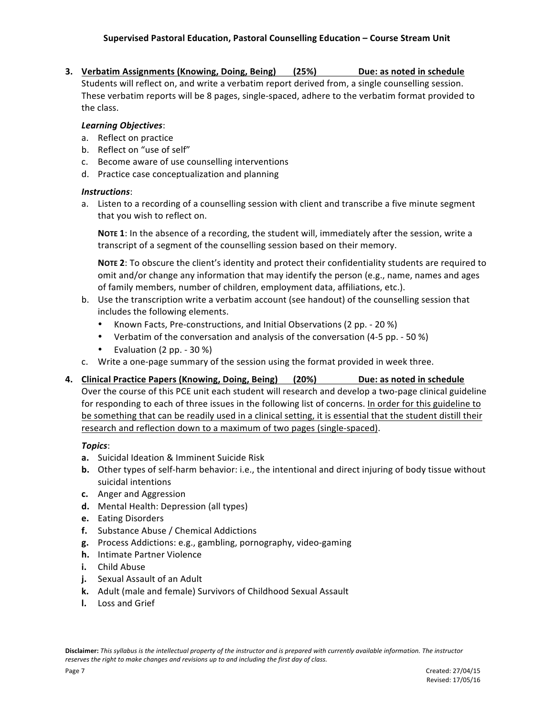**3. Verbatim Assignments (Knowing, Doing, Being)** (25%) Due: as noted in schedule

Students will reflect on, and write a verbatim report derived from, a single counselling session. These verbatim reports will be 8 pages, single-spaced, adhere to the verbatim format provided to the class.

#### *Learning Objectives*:

- a. Reflect on practice
- b. Reflect on "use of self"
- c. Become aware of use counselling interventions
- d. Practice case conceptualization and planning

#### *Instructions*:

a. Listen to a recording of a counselling session with client and transcribe a five minute segment that you wish to reflect on.

NOTE 1: In the absence of a recording, the student will, immediately after the session, write a transcript of a segment of the counselling session based on their memory.

NOTE 2: To obscure the client's identity and protect their confidentiality students are required to omit and/or change any information that may identify the person (e.g., name, names and ages of family members, number of children, employment data, affiliations, etc.).

- b. Use the transcription write a verbatim account (see handout) of the counselling session that includes the following elements.
	- Known Facts, Pre-constructions, and Initial Observations (2 pp. 20 %)
	- Verbatim of the conversation and analysis of the conversation (4-5 pp. 50 %)
	- Evaluation  $(2 pp. 30 %)$
- c. Write a one-page summary of the session using the format provided in week three.
- **4. Clinical Practice Papers (Knowing, Doing, Being) (20%) Due: as noted in schedule**

Over the course of this PCE unit each student will research and develop a two-page clinical guideline for responding to each of three issues in the following list of concerns. In order for this guideline to be something that can be readily used in a clinical setting, it is essential that the student distill their research and reflection down to a maximum of two pages (single-spaced).

#### *Topics*:

- **a.** Suicidal Ideation & Imminent Suicide Risk
- **b.** Other types of self-harm behavior: i.e., the intentional and direct injuring of body tissue without suicidal intentions
- **c.** Anger and Aggression
- **d.** Mental Health: Depression (all types)
- **e.** Eating Disorders
- **f.** Substance Abuse / Chemical Addictions
- **g.** Process Addictions: e.g., gambling, pornography, video-gaming
- **h.** Intimate Partner Violence
- **i.** Child Abuse
- **j.** Sexual Assault of an Adult
- k. Adult (male and female) Survivors of Childhood Sexual Assault
- **l.** Loss and Grief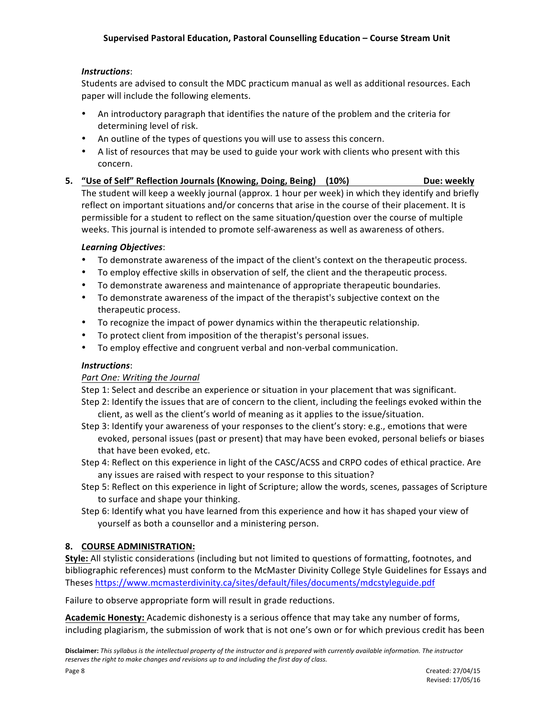### *Instructions*:

Students are advised to consult the MDC practicum manual as well as additional resources. Each paper will include the following elements.

- An introductory paragraph that identifies the nature of the problem and the criteria for determining level of risk.
- An outline of the types of questions you will use to assess this concern.
- A list of resources that may be used to guide your work with clients who present with this concern.
- **5.** "Use of Self" Reflection Journals (Knowing, Doing, Being) (10%) **Due:** weekly The student will keep a weekly journal (approx. 1 hour per week) in which they identify and briefly reflect on important situations and/or concerns that arise in the course of their placement. It is permissible for a student to reflect on the same situation/question over the course of multiple weeks. This journal is intended to promote self-awareness as well as awareness of others.

#### *Learning Objectives*:

- To demonstrate awareness of the impact of the client's context on the therapeutic process.
- To employ effective skills in observation of self, the client and the therapeutic process.
- To demonstrate awareness and maintenance of appropriate therapeutic boundaries.
- To demonstrate awareness of the impact of the therapist's subjective context on the therapeutic process.
- To recognize the impact of power dynamics within the therapeutic relationship.
- To protect client from imposition of the therapist's personal issues.
- To employ effective and congruent verbal and non-verbal communication.

#### *Instructions*:

#### **Part One: Writing the Journal**

Step 1: Select and describe an experience or situation in your placement that was significant.

Step 2: Identify the issues that are of concern to the client, including the feelings evoked within the client, as well as the client's world of meaning as it applies to the issue/situation.

- Step 3: Identify your awareness of your responses to the client's story: e.g., emotions that were evoked, personal issues (past or present) that may have been evoked, personal beliefs or biases that have been evoked, etc.
- Step 4: Reflect on this experience in light of the CASC/ACSS and CRPO codes of ethical practice. Are any issues are raised with respect to your response to this situation?
- Step 5: Reflect on this experience in light of Scripture; allow the words, scenes, passages of Scripture to surface and shape your thinking.
- Step 6: Identify what you have learned from this experience and how it has shaped your view of yourself as both a counsellor and a ministering person.

# **8. COURSE ADMINISTRATION:**

**Style:** All stylistic considerations (including but not limited to questions of formatting, footnotes, and bibliographic references) must conform to the McMaster Divinity College Style Guidelines for Essays and Theses https://www.mcmasterdivinity.ca/sites/default/files/documents/mdcstyleguide.pdf

Failure to observe appropriate form will result in grade reductions.

Academic Honesty: Academic dishonesty is a serious offence that may take any number of forms, including plagiarism, the submission of work that is not one's own or for which previous credit has been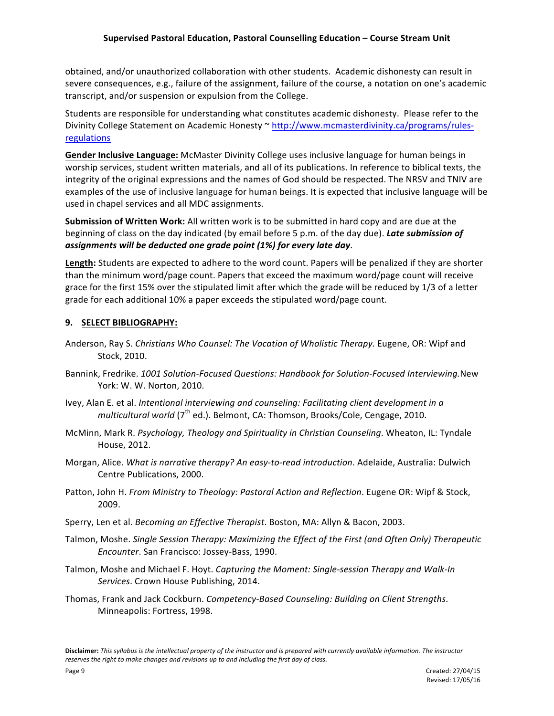obtained, and/or unauthorized collaboration with other students. Academic dishonesty can result in severe consequences, e.g., failure of the assignment, failure of the course, a notation on one's academic transcript, and/or suspension or expulsion from the College.

Students are responsible for understanding what constitutes academic dishonesty. Please refer to the Divinity College Statement on Academic Honesty ~ http://www.mcmasterdivinity.ca/programs/rulesregulations

Gender Inclusive Language: McMaster Divinity College uses inclusive language for human beings in worship services, student written materials, and all of its publications. In reference to biblical texts, the integrity of the original expressions and the names of God should be respected. The NRSV and TNIV are examples of the use of inclusive language for human beings. It is expected that inclusive language will be used in chapel services and all MDC assignments.

**Submission of Written Work:** All written work is to be submitted in hard copy and are due at the beginning of class on the day indicated (by email before 5 p.m. of the day due). Late submission of *assignments will be deducted one grade point (1%) for every late day*. 

Length: Students are expected to adhere to the word count. Papers will be penalized if they are shorter than the minimum word/page count. Papers that exceed the maximum word/page count will receive grace for the first 15% over the stipulated limit after which the grade will be reduced by 1/3 of a letter grade for each additional 10% a paper exceeds the stipulated word/page count.

### **9. SELECT BIBLIOGRAPHY:**

- Anderson, Ray S. *Christians Who Counsel: The Vocation of Wholistic Therapy.* Eugene, OR: Wipf and Stock, 2010.
- Bannink, Fredrike. 1001 Solution-Focused Questions: Handbook for Solution-Focused Interviewing.New York: W. W. Norton, 2010.
- Ivey, Alan E. et al. *Intentional interviewing and counseling: Facilitating client development in a multicultural world* (7<sup>th</sup> ed.). Belmont, CA: Thomson, Brooks/Cole, Cengage, 2010.
- McMinn, Mark R. Psychology, Theology and Spirituality in Christian Counseling. Wheaton, IL: Tyndale House, 2012.
- Morgan, Alice. What is narrative therapy? An easy-to-read introduction. Adelaide, Australia: Dulwich Centre Publications, 2000.
- Patton, John H. From Ministry to Theology: Pastoral Action and Reflection. Eugene OR: Wipf & Stock, 2009.
- Sperry, Len et al. *Becoming an Effective Therapist*. Boston, MA: Allyn & Bacon, 2003.
- Talmon, Moshe. Single Session Therapy: Maximizing the Effect of the First (and Often Only) Therapeutic *Encounter*. San Francisco: Jossey-Bass, 1990.
- Talmon, Moshe and Michael F. Hoyt. *Capturing the Moment: Single-session Therapy and Walk-In* Services. Crown House Publishing, 2014.
- Thomas, Frank and Jack Cockburn. *Competency-Based Counseling: Building on Client Strengths.* Minneapolis: Fortress, 1998.

Disclaimer: This syllabus is the intellectual property of the instructor and is prepared with currently available information. The instructor reserves the right to make changes and revisions up to and including the first day of class.